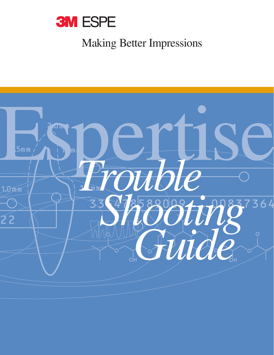

# Making Better Impressions

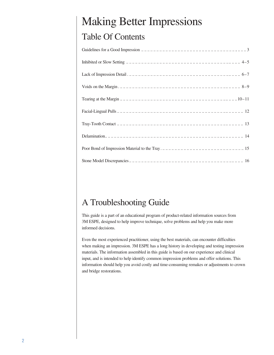# Making Better Impressions Table Of Contents

# A Troubleshooting Guide

This guide is a part of an educational program of product-related information sources from 3M ESPE, designed to help improve technique, solve problems and help you make more informed decisions.

Even the most experienced practitioner, using the best materials, can encounter difficulties when making an impression. 3M ESPE has a long history in developing and testing impression materials. The information assembled in this guide is based on our experience and clinical input, and is intended to help identify common impression problems and offer solutions. This information should help you avoid costly and time-consuming remakes or adjustments to crown and bridge restorations.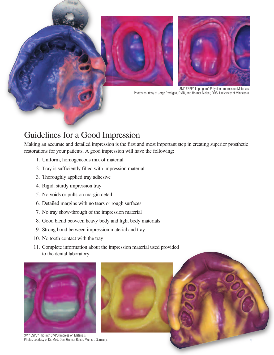

# Guidelines for a Good Impression

Making an accurate and detailed impression is the first and most important step in creating superior prosthetic restorations for your patients. A good impression will have the following:

- 1. Uniform, homogeneous mix of material
- 2. Tray is sufficiently filled with impression material
- 3. Thoroughly applied tray adhesive
- 4. Rigid, sturdy impression tray
- 5. No voids or pulls on margin detail
- 6. Detailed margins with no tears or rough surfaces
- 7. No tray show-through of the impression material
- 8. Good blend between heavy body and light body materials
- 9. Strong bond between impression material and tray
- 10. No tooth contact with the tray
- 11. Complete information about the impression material used provided to the dental laboratory



3M™ ESPE™ Imprint™ 3 VPS Impression Materials. Photos courtesy of Dr. Med. Dent Gunnar Reich, Munich, Germany.



3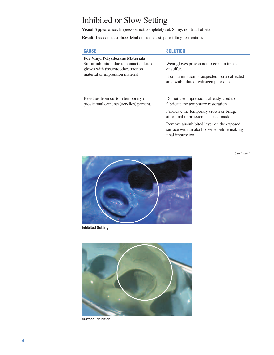# Inhibited or Slow Setting

**Visual Appearance:** Impression not completely set. Shiny, no detail of site.

**Result:** Inadequate surface detail on stone cast, poor fitting restorations.

| <b>CAUSE</b>                                                                                                                                                    | SOLUTION                                                                                                     |
|-----------------------------------------------------------------------------------------------------------------------------------------------------------------|--------------------------------------------------------------------------------------------------------------|
| <b>For Vinyl Polysiloxane Materials</b><br>Sulfur inhibition due to contact of latex<br>gloves with tissue/tooth/retraction<br>material or impression material. | Wear gloves proven not to contain traces<br>of sulfur.                                                       |
|                                                                                                                                                                 | If contamination is suspected, scrub affected<br>area with diluted hydrogen peroxide.                        |
| Residues from custom temporary or<br>provisional cements (acrylics) present.                                                                                    | Do not use impressions already used to<br>fabricate the temporary restoration.                               |
|                                                                                                                                                                 | Fabricate the temporary crown or bridge<br>after final impression has been made.                             |
|                                                                                                                                                                 | Remove air-inhibited layer on the exposed<br>surface with an alcohol wipe before making<br>final impression. |

*Continued*



**Inhibited Setting**



**Surface Inhibition**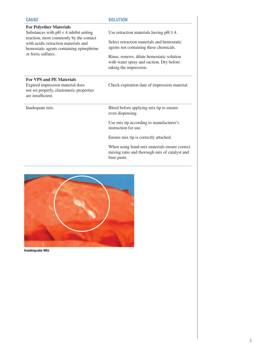| <b>CAUSE</b>                                                                                                                                                                                                                    | <b>SOLUTION</b>                                                                                                 |
|---------------------------------------------------------------------------------------------------------------------------------------------------------------------------------------------------------------------------------|-----------------------------------------------------------------------------------------------------------------|
| <b>For Polyether Materials</b><br>Substances with $pH < 4$ inhibit setting<br>reaction, most commonly by the contact<br>with acidic retraction materials and<br>hemostatic agents containing epinephrine<br>or ferric sulfates. | Use retraction materials having $pH \geq 4$ .                                                                   |
|                                                                                                                                                                                                                                 | Select retraction materials and hemostatic<br>agents not containing these chemicals.                            |
|                                                                                                                                                                                                                                 | Rinse, remove, dilute hemostatic solution<br>with water spray and suction. Dry before<br>taking the impression. |
| <b>For VPS and PE Materials</b><br>Expired impression material does<br>not set properly, elastomeric properties<br>are insufficient.                                                                                            | Check expiration date of impression material.                                                                   |
| Inadequate mix.                                                                                                                                                                                                                 | Bleed before applying mix tip to ensure<br>even dispensing.                                                     |
|                                                                                                                                                                                                                                 | Use mix tip according to manufacturer's<br>instruction for use.                                                 |
|                                                                                                                                                                                                                                 | Ensure mix tip is correctly attached.                                                                           |
|                                                                                                                                                                                                                                 | When using hand-mix materials ensure correct<br>mixing ratio and thorough mix of catalyst and<br>base paste.    |



**Inadequate Mix**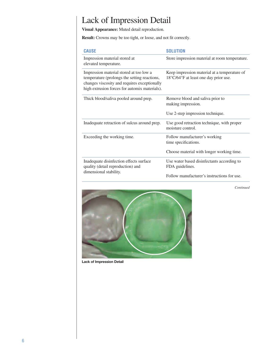# Lack of Impression Detail

**Visual Appearance:** Muted detail reproduction.

**Result:** Crowns may be too tight, or loose, and not fit correctly.

| <b>CAUSE</b>                                                                                                                                                                             | <b>SOLUTION</b>                                                                       |
|------------------------------------------------------------------------------------------------------------------------------------------------------------------------------------------|---------------------------------------------------------------------------------------|
| Impression material stored at<br>elevated temperature.                                                                                                                                   | Store impression material at room temperature.                                        |
| Impression material stored at too low a<br>temperature (prolongs the setting reactions,<br>changes viscosity and requires exceptionally<br>high extrusion forces for automix materials). | Keep impression material at a temperature of<br>18°C/64°F at least one day prior use. |
| Thick blood/saliva pooled around prep.                                                                                                                                                   | Remove blood and saliva prior to<br>making impression.                                |
|                                                                                                                                                                                          | Use 2-step impression technique.                                                      |
| Inadequate retraction of sulcus around prep.                                                                                                                                             | Use good retraction technique, with proper<br>moisture control.                       |
| Exceeding the working time.                                                                                                                                                              | Follow manufacturer's working<br>time specifications.                                 |
|                                                                                                                                                                                          | Choose material with longer working time.                                             |
| Inadequate disinfection effects surface<br>quality (detail reproduction) and                                                                                                             | Use water based disinfectants according to<br>FDA guidelines.                         |
| dimensional stability.                                                                                                                                                                   | Follow manufacturer's instructions for use.                                           |





**Lack of Impression Detail**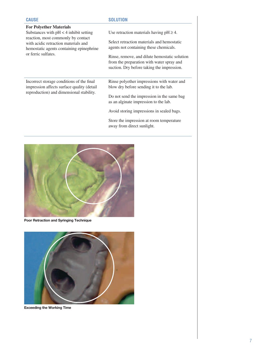| <b>CAUSE</b>                                                                                                                                                                              | <b>SOLUTION</b>                                                                                                                          |
|-------------------------------------------------------------------------------------------------------------------------------------------------------------------------------------------|------------------------------------------------------------------------------------------------------------------------------------------|
| <b>For Polyether Materials</b>                                                                                                                                                            |                                                                                                                                          |
| Substances with $pH < 4$ inhibit setting<br>reaction, most commonly by contact<br>with acidic retraction materials and<br>hemostatic agents containing epinephrine<br>or ferric sulfates. | Use retraction materials having $pH \geq 4$ .                                                                                            |
|                                                                                                                                                                                           | Select retraction materials and hemostatic<br>agents not containing these chemicals.                                                     |
|                                                                                                                                                                                           | Rinse, remove, and dilute hemostatic solution<br>from the preparation with water spray and<br>suction. Dry before taking the impression. |
| Incorrect storage conditions of the final<br>impression affects surface quality (detail)<br>reproduction) and dimensional stability.                                                      | Rinse polyether impressions with water and<br>blow dry before sending it to the lab.                                                     |
|                                                                                                                                                                                           | Do not send the impression in the same bag<br>as an alginate impression to the lab.                                                      |
|                                                                                                                                                                                           | Avoid storing impressions in sealed bags.                                                                                                |
|                                                                                                                                                                                           | Store the impression at room temperature<br>away from direct sunlight.                                                                   |
|                                                                                                                                                                                           |                                                                                                                                          |



**Poor Retraction and Syringing Technique**



**Exceeding the Working Time**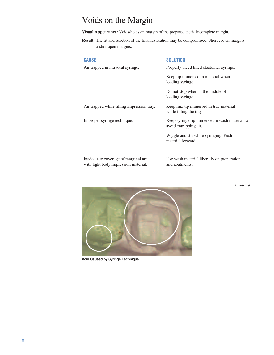# Voids on the Margin

**Visual Appearance:** Voids/holes on margin of the prepared teeth. Incomplete margin.

**Result:** The fit and function of the final restoration may be compromised. Short crown margins and/or open margins.

| <b>CAUSE</b>                               | <b>SOLUTION</b>                                                        |
|--------------------------------------------|------------------------------------------------------------------------|
| Air trapped in intraoral syringe.          | Properly bleed filled elastomer syringe.                               |
|                                            | Keep tip immersed in material when<br>loading syringe.                 |
|                                            | Do not stop when in the middle of<br>loading syringe.                  |
| Air trapped while filling impression tray. | Keep mix tip immersed in tray material<br>while filling the tray.      |
| Improper syringe technique.                | Keep syringe tip immersed in wash material to<br>avoid entrapping air. |
|                                            | Wiggle and stir while syringing. Push<br>material forward.             |
| Inadequate coverage of marginal area       | Use wash material liberally on preparation                             |
| with light body impression material.       | and abutments.                                                         |

*Continued*



**Void Caused by Syringe Technique**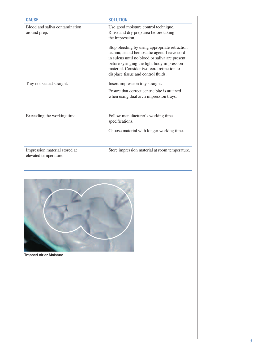| <b>CAUSE</b>                                           | <b>SOLUTION</b>                                                                                                                                                                                                                                                                 |
|--------------------------------------------------------|---------------------------------------------------------------------------------------------------------------------------------------------------------------------------------------------------------------------------------------------------------------------------------|
| Blood and saliva contamination<br>around prep.         | Use good moisture control technique.<br>Rinse and dry prep area before taking<br>the impression.                                                                                                                                                                                |
|                                                        | Stop bleeding by using appropriate retraction<br>technique and hemostatic agent. Leave cord<br>in sulcus until no blood or saliva are present<br>before syringing the light body impression<br>material. Consider two-cord retraction to<br>displace tissue and control fluids. |
| Tray not seated straight.                              | Insert impression tray straight.                                                                                                                                                                                                                                                |
|                                                        | Ensure that correct centric bite is attained<br>when using dual arch impression trays.                                                                                                                                                                                          |
| Exceeding the working time.                            | Follow manufacturer's working time<br>specifications.                                                                                                                                                                                                                           |
|                                                        | Choose material with longer working time.                                                                                                                                                                                                                                       |
| Impression material stored at<br>elevated temperature. | Store impression material at room temperature.                                                                                                                                                                                                                                  |



**Trapped Air or Moisture**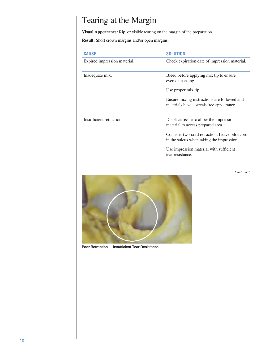# Tearing at the Margin

**Visual Appearance:** Rip, or visible tearing on the margin of the preparation.

**Result:** Short crown margins and/or open margins.

| <b>CAUSE</b>                 | <b>SOLUTION</b>                                                                             |
|------------------------------|---------------------------------------------------------------------------------------------|
| Expired impression material. | Check expiration date of impression material.                                               |
| Inadequate mix.              | Bleed before applying mix tip to ensure<br>even dispensing.                                 |
|                              | Use proper mix tip.                                                                         |
|                              | Ensure mixing instructions are followed and<br>materials have a streak-free appearance.     |
| Insufficient retraction.     | Displace tissue to allow the impression<br>material to access prepared area.                |
|                              | Consider two-cord retraction. Leave pilot cord<br>in the sulcus when taking the impression. |
|                              | Use impression material with sufficient<br>tear resistance.                                 |

*Continued*



**Poor Retraction — Insufficient Tear Resistance**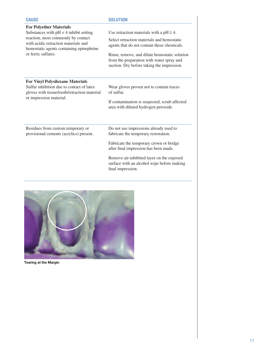| <b>CAUSE</b>                                                                 | <b>SOLUTION</b>                                                                                                                                                                                                                                                                    |
|------------------------------------------------------------------------------|------------------------------------------------------------------------------------------------------------------------------------------------------------------------------------------------------------------------------------------------------------------------------------|
| <b>For Polyether Materials</b>                                               | Use retraction materials with a $pH \geq 4$ .                                                                                                                                                                                                                                      |
| Substances with $pH < 4$ inhibit setting                                     | Select retraction materials and hemostatic                                                                                                                                                                                                                                         |
| reaction, most commonly by contact                                           | agents that do not contain these chemicals.                                                                                                                                                                                                                                        |
| with acidic retraction materials and                                         | Rinse, remove, and dilute hemostatic solution                                                                                                                                                                                                                                      |
| hemostatic agents containing epinephrine                                     | from the preparation with water spray and                                                                                                                                                                                                                                          |
| or ferric sulfates.                                                          | suction. Dry before taking the impression.                                                                                                                                                                                                                                         |
| <b>For Vinyl Polysiloxane Materials</b>                                      | Wear gloves proven not to contain traces                                                                                                                                                                                                                                           |
| Sulfur inhibition due to contact of latex                                    | of sulfur.                                                                                                                                                                                                                                                                         |
| gloves with tissue/tooth/retraction material                                 | If contamination is suspected, scrub affected                                                                                                                                                                                                                                      |
| or impression material.                                                      | area with diluted hydrogen peroxide.                                                                                                                                                                                                                                               |
| Residues from custom temporary or<br>provisional cements (acrylics) present. | Do not use impressions already used to<br>fabricate the temporary restoration.<br>Fabricate the temporary crown or bridge<br>after final impression has been made.<br>Remove air-inhibited layer on the exposed<br>surface with an alcohol wipe before making<br>final impression. |



**Tearing at the Margin**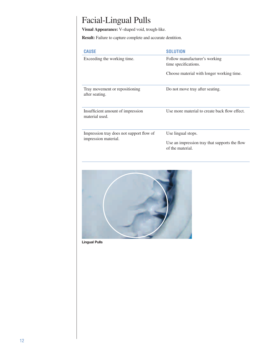# Facial-Lingual Pulls

**Visual Appearance:** V-shaped void, trough-like.

**Result:** Failure to capture complete and accurate dentition.

| <b>CAUSE</b>                                                     | <b>SOLUTION</b>                                                   |
|------------------------------------------------------------------|-------------------------------------------------------------------|
| Exceeding the working time.                                      | Follow manufacturer's working<br>time specifications.             |
|                                                                  | Choose material with longer working time.                         |
| Tray movement or repositioning<br>after seating.                 | Do not move tray after seating.                                   |
| Insufficient amount of impression<br>material used.              | Use more material to create back flow effect.                     |
| Impression tray does not support flow of<br>impression material. | Use lingual stops.                                                |
|                                                                  | Use an impression tray that supports the flow<br>of the material. |



**Lingual Pulls**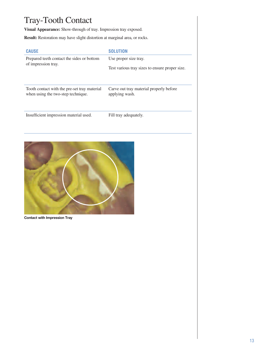# Tray-Tooth Contact

**Visual Appearance:** Show-through of tray. Impression tray exposed.

**Result:** Restoration may have slight distortion at marginal area, or rocks.

| <b>CAUSE</b>                                 | <b>SOLUTION</b>                                |
|----------------------------------------------|------------------------------------------------|
| Prepared teeth contact the sides or bottom   | Use proper size tray.                          |
| of impression tray.                          | Test various tray sizes to ensure proper size. |
| Tooth contact with the pre-set tray material | Carve out tray material properly before        |
| when using the two-step technique.           | applying wash.                                 |
| Insufficient impression material used.       | Fill tray adequately.                          |



**Contact with Impression Tray**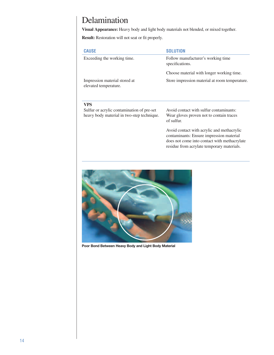#### Delamination

**Visual Appearance:** Heavy body and light body materials not blended, or mixed together.

**Result:** Restoration will not seat or fit properly.

| <b>CAUSE</b>                                           | <b>SOLUTION</b>                                       |
|--------------------------------------------------------|-------------------------------------------------------|
| Exceeding the working time.                            | Follow manufacturer's working time<br>specifications. |
|                                                        | Choose material with longer working time.             |
| Impression material stored at<br>elevated temperature. | Store impression material at room temperature.        |

#### **VPS**

Sulfur or acrylic contamination of pre-set heavy body material in two-step technique. Avoid contact with sulfur contaminants: Wear gloves proven not to contain traces of sulfur.

Avoid contact with acrylic and methacrylic contaminants: Ensure impression material does not come into contact with methacrylate residue from acrylate temporary materials.



**Poor Bond Between Heavy Body and Light Body Material**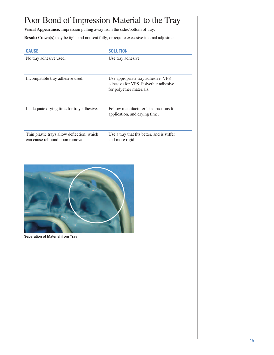# Poor Bond of Impression Material to the Tray

**Visual Appearance:** Impression pulling away from the sides/bottom of tray.

**Result:** Crown(s) may be tight and not seat fully, or require excessive internal adjustment.

| <b>CAUSE</b>                                                                  | <b>SOLUTION</b>                                                                                        |
|-------------------------------------------------------------------------------|--------------------------------------------------------------------------------------------------------|
| No tray adhesive used.                                                        | Use tray adhesive.                                                                                     |
| Incompatible tray adhesive used.                                              | Use appropriate tray adhesive. VPS<br>adhesive for VPS. Polyether adhesive<br>for polyether materials. |
| Inadequate drying time for tray adhesive.                                     | Follow manufacturer's instructions for<br>application, and drying time.                                |
| Thin plastic trays allow deflection, which<br>can cause rebound upon removal. | Use a tray that fits better, and is stiffer<br>and more rigid.                                         |



**Separation of Material from Tray**